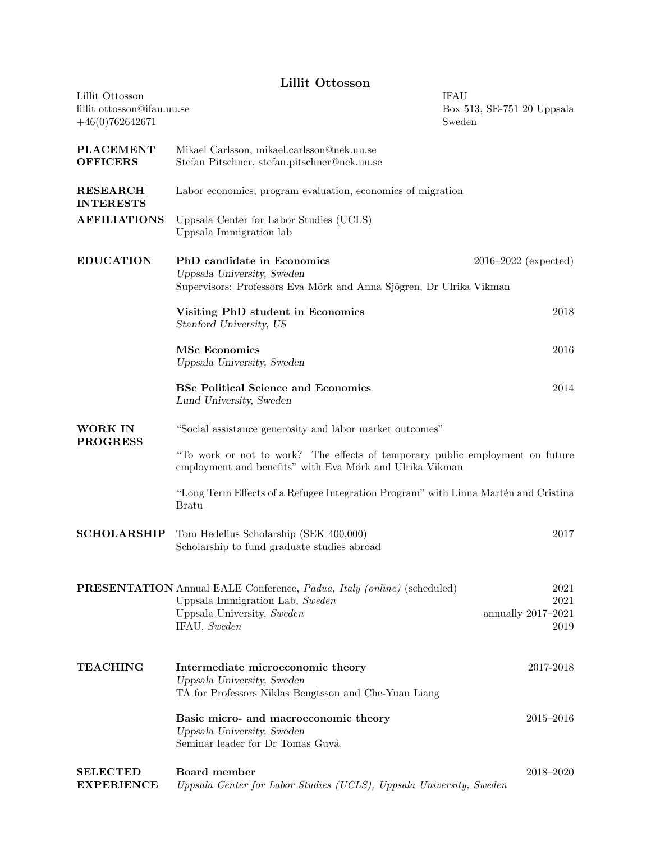## Lillit Ottosson

| Lillit Ottosson<br>lillit ottosson@ifau.uu.se<br>$+46(0)762642671$ |                                                                                                                                                                               | <b>IFAU</b><br>Box 513, SE-751 20 Uppsala<br>Sweden |  |
|--------------------------------------------------------------------|-------------------------------------------------------------------------------------------------------------------------------------------------------------------------------|-----------------------------------------------------|--|
| <b>PLACEMENT</b><br><b>OFFICERS</b>                                | Mikael Carlsson, mikael.carlsson@nek.uu.se<br>Stefan Pitschner, stefan.pitschner@nek.uu.se                                                                                    |                                                     |  |
| <b>RESEARCH</b><br><b>INTERESTS</b>                                | Labor economics, program evaluation, economics of migration                                                                                                                   |                                                     |  |
| <b>AFFILIATIONS</b>                                                | Uppsala Center for Labor Studies (UCLS)<br>Uppsala Immigration lab                                                                                                            |                                                     |  |
| <b>EDUCATION</b>                                                   | PhD candidate in Economics<br>Uppsala University, Sweden<br>Supervisors: Professors Eva Mörk and Anna Sjögren, Dr Ulrika Vikman                                               | $2016 - 2022$ (expected)                            |  |
|                                                                    | Visiting PhD student in Economics<br>Stanford University, US                                                                                                                  | 2018                                                |  |
|                                                                    | <b>MSc Economics</b><br>Uppsala University, Sweden                                                                                                                            | 2016                                                |  |
|                                                                    | <b>BSc Political Science and Economics</b><br>Lund University, Sweden                                                                                                         | 2014                                                |  |
| <b>WORK IN</b><br><b>PROGRESS</b>                                  | "Social assistance generosity and labor market outcomes"                                                                                                                      |                                                     |  |
|                                                                    | "To work or not to work? The effects of temporary public employment on future<br>employment and benefits" with Eva Mörk and Ulrika Vikman                                     |                                                     |  |
|                                                                    | "Long Term Effects of a Refugee Integration Program" with Linna Martén and Cristina<br><b>Bratu</b>                                                                           |                                                     |  |
| <b>SCHOLARSHIP</b>                                                 | Tom Hedelius Scholarship (SEK 400,000)<br>Scholarship to fund graduate studies abroad                                                                                         | 2017                                                |  |
|                                                                    | <b>PRESENTATION</b> Annual EALE Conference, <i>Padua</i> , <i>Italy (online)</i> (scheduled)<br>Uppsala Immigration Lab, Sweden<br>Uppsala University, Sweden<br>IFAU, Sweden | 2021<br>2021<br>annually 2017-2021<br>2019          |  |
| <b>TEACHING</b>                                                    | Intermediate microeconomic theory<br>Uppsala University, Sweden<br>TA for Professors Niklas Bengtsson and Che-Yuan Liang                                                      | 2017-2018                                           |  |
|                                                                    | Basic micro- and macroeconomic theory<br>Uppsala University, Sweden<br>Seminar leader for Dr Tomas Guvå                                                                       | $2015 - 2016$                                       |  |
| <b>SELECTED</b><br><b>EXPERIENCE</b>                               | Board member<br>Uppsala Center for Labor Studies (UCLS), Uppsala University, Sweden                                                                                           | 2018-2020                                           |  |